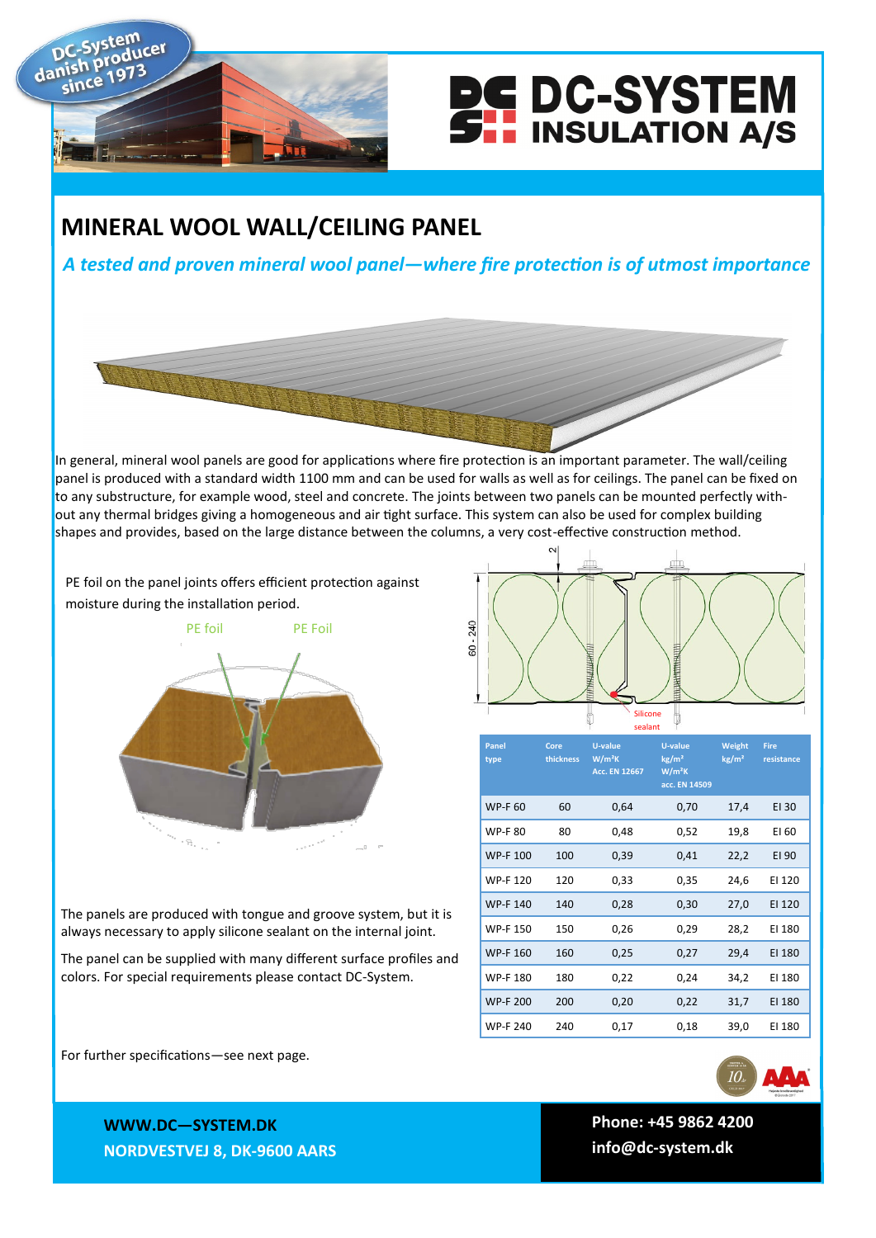



## **MINERAL WOOL WALL/CEILING PANEL**

*A tested and proven mineral wool panel—where fire protection is of utmost importance*



In general, mineral wool panels are good for applications where fire protection is an important parameter. The wall/ceiling panel is produced with a standard width 1100 mm and can be used for walls as well as for ceilings. The panel can be fixed on to any substructure, for example wood, steel and concrete. The joints between two panels can be mounted perfectly without any thermal bridges giving a homogeneous and air tight surface. This system can also be used for complex building shapes and provides, based on the large distance between the columns, a very cost-effective construction method.

PE foil on the panel joints offers efficient protection against moisture during the installation period.



24<sub>0</sub>  $60$ đ Silicone sealant

| <b>Panel</b><br>type | Core<br>thickness | <b>U-value</b><br>$W/m^2K$<br><b>Acc. EN 12667</b> | <b>U-value</b><br>kg/m <sup>2</sup><br>$W/m^2K$<br>acc. EN 14509 | Weight<br>kg/m <sup>2</sup> | <b>Fire</b><br>resistance |
|----------------------|-------------------|----------------------------------------------------|------------------------------------------------------------------|-----------------------------|---------------------------|
| <b>WP-F 60</b>       | 60                | 0,64                                               | 0,70                                                             | 17,4                        | EI 30                     |
| <b>WP-F80</b>        | 80                | 0,48                                               | 0,52                                                             | 19,8                        | EI 60                     |
| <b>WP-F 100</b>      | 100               | 0,39                                               | 0,41                                                             | 22,2                        | EI 90                     |
| <b>WP-F120</b>       | 120               | 0,33                                               | 0,35                                                             | 24,6                        | EI 120                    |
| <b>WP-F140</b>       | 140               | 0,28                                               | 0,30                                                             | 27,0                        | EI 120                    |
| <b>WP-F150</b>       | 150               | 0,26                                               | 0,29                                                             | 28,2                        | EI 180                    |
| <b>WP-F160</b>       | 160               | 0,25                                               | 0,27                                                             | 29,4                        | EI 180                    |
| <b>WP-F180</b>       | 180               | 0,22                                               | 0,24                                                             | 34,2                        | EI 180                    |
| <b>WP-F 200</b>      | 200               | 0,20                                               | 0,22                                                             | 31,7                        | EI 180                    |
| <b>WP-F 240</b>      | 240               | 0,17                                               | 0,18                                                             | 39,0                        | EI 180                    |

The panels are produced with tongue and groove system, but it is always necessary to apply silicone sealant on the internal joint.

The panel can be supplied with many different surface profiles and colors. For special requirements please contact DC-System.

For further specifications—see next page.



**WWW.DC—SYSTEM.DK NORDVESTVEJ 8, DK-9600 AARS**

 **Phone: +45 9862 4200 info@dc-system.dk**